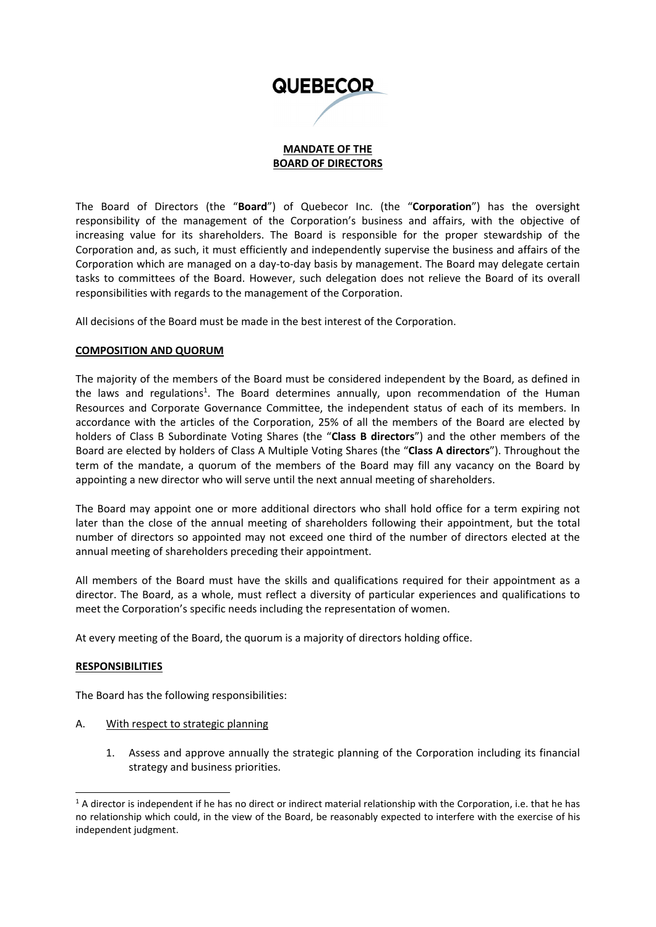

### **MANDATE OF THE BOARD OF DIRECTORS**

The Board of Directors (the "**Board**") of Quebecor Inc. (the "**Corporation**") has the oversight responsibility of the management of the Corporation's business and affairs, with the objective of increasing value for its shareholders. The Board is responsible for the proper stewardship of the Corporation and, as such, it must efficiently and independently supervise the business and affairs of the Corporation which are managed on a day‐to‐day basis by management. The Board may delegate certain tasks to committees of the Board. However, such delegation does not relieve the Board of its overall responsibilities with regards to the management of the Corporation.

All decisions of the Board must be made in the best interest of the Corporation.

### **COMPOSITION AND QUORUM**

The majority of the members of the Board must be considered independent by the Board, as defined in the laws and regulations<sup>1</sup>. The Board determines annually, upon recommendation of the Human Resources and Corporate Governance Committee, the independent status of each of its members. In accordance with the articles of the Corporation, 25% of all the members of the Board are elected by holders of Class B Subordinate Voting Shares (the "**Class B directors**") and the other members of the Board are elected by holders of Class A Multiple Voting Shares (the "**Class A directors**"). Throughout the term of the mandate, a quorum of the members of the Board may fill any vacancy on the Board by appointing a new director who will serve until the next annual meeting of shareholders.

The Board may appoint one or more additional directors who shall hold office for a term expiring not later than the close of the annual meeting of shareholders following their appointment, but the total number of directors so appointed may not exceed one third of the number of directors elected at the annual meeting of shareholders preceding their appointment.

All members of the Board must have the skills and qualifications required for their appointment as a director. The Board, as a whole, must reflect a diversity of particular experiences and qualifications to meet the Corporation's specific needs including the representation of women.

At every meeting of the Board, the quorum is a majority of directors holding office.

# **RESPONSIBILITIES**

The Board has the following responsibilities:

- A. With respect to strategic planning
	- 1. Assess and approve annually the strategic planning of the Corporation including its financial strategy and business priorities.

 $1$  A director is independent if he has no direct or indirect material relationship with the Corporation, i.e. that he has no relationship which could, in the view of the Board, be reasonably expected to interfere with the exercise of his independent judgment.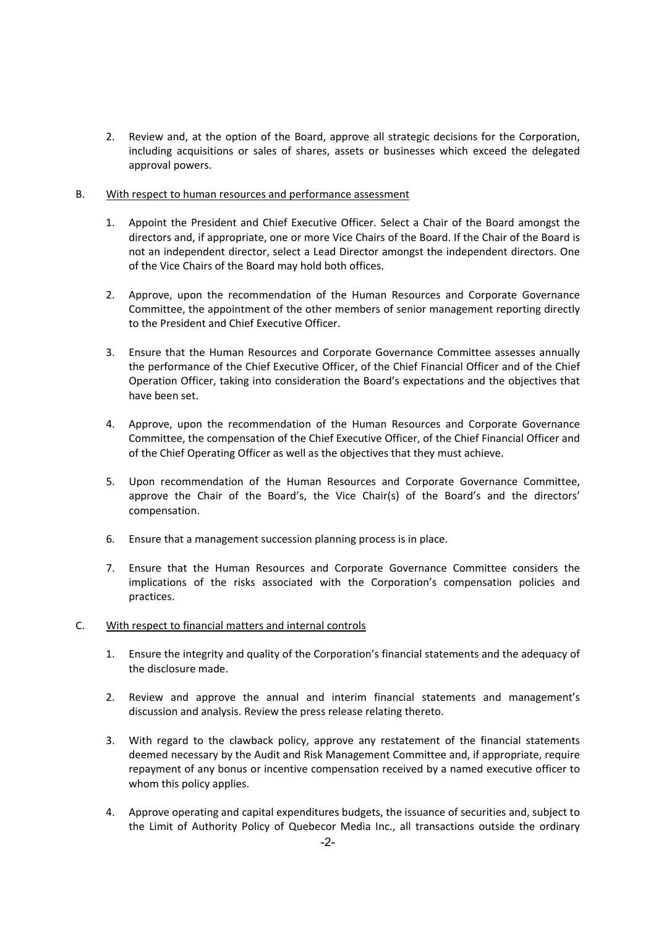2. Review and, at the option of the Board, approve all strategic decisions for the Corporation, including acquisitions or sales of shares, assets or businesses which exceed the delegated approval powers.

#### B. With respect to human resources and performance assessment

- 1. Appoint the President and Chief Executive Officer. Select a Chair of the Board amongst the directors and, if appropriate, one or more Vice Chairs of the Board. If the Chair of the Board is not an independent director, select a Lead Director amongst the independent directors. One of the Vice Chairs of the Board may hold both offices.
- 2. Approve, upon the recommendation of the Human Resources and Corporate Governance Committee, the appointment of the other members of senior management reporting directly to the President and Chief Executive Officer.
- 3. Ensure that the Human Resources and Corporate Governance Committee assesses annually the performance of the Chief Executive Officer, of the Chief Financial Officer and of the Chief Operation Officer, taking into consideration the Board's expectations and the objectives that have been set.
- 4. Approve, upon the recommendation of the Human Resources and Corporate Governance Committee, the compensation of the Chief Executive Officer, of the Chief Financial Officer and of the Chief Operating Officer as well as the objectives that they must achieve.
- 5. Upon recommendation of the Human Resources and Corporate Governance Committee, approve the Chair of the Board's, the Vice Chair(s) of the Board's and the directors' compensation.
- 6. Ensure that a management succession planning process is in place.
- 7. Ensure that the Human Resources and Corporate Governance Committee considers the implications of the risks associated with the Corporation's compensation policies and practices.

# C. With respect to financial matters and internal controls

- 1. Ensure the integrity and quality of the Corporation's financial statements and the adequacy of the disclosure made.
- 2. Review and approve the annual and interim financial statements and management's discussion and analysis. Review the press release relating thereto.
- 3. With regard to the clawback policy, approve any restatement of the financial statements deemed necessary by the Audit and Risk Management Committee and, if appropriate, require repayment of any bonus or incentive compensation received by a named executive officer to whom this policy applies.
- 4. Approve operating and capital expenditures budgets, the issuance of securities and, subject to the Limit of Authority Policy of Quebecor Media Inc., all transactions outside the ordinary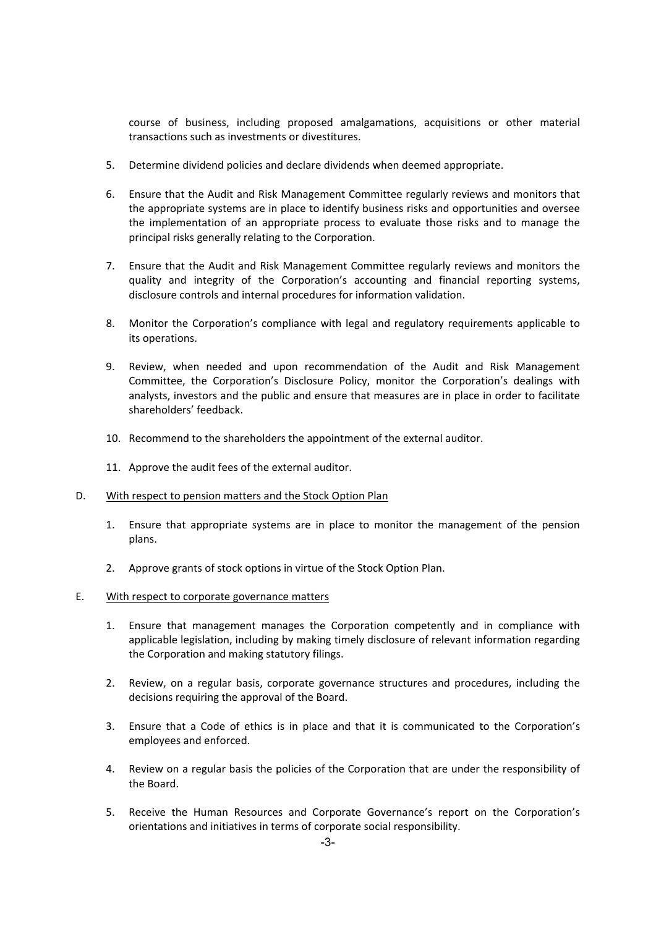course of business, including proposed amalgamations, acquisitions or other material transactions such as investments or divestitures.

- 5. Determine dividend policies and declare dividends when deemed appropriate.
- 6. Ensure that the Audit and Risk Management Committee regularly reviews and monitors that the appropriate systems are in place to identify business risks and opportunities and oversee the implementation of an appropriate process to evaluate those risks and to manage the principal risks generally relating to the Corporation.
- 7. Ensure that the Audit and Risk Management Committee regularly reviews and monitors the quality and integrity of the Corporation's accounting and financial reporting systems, disclosure controls and internal procedures for information validation.
- 8. Monitor the Corporation's compliance with legal and regulatory requirements applicable to its operations.
- 9. Review, when needed and upon recommendation of the Audit and Risk Management Committee, the Corporation's Disclosure Policy, monitor the Corporation's dealings with analysts, investors and the public and ensure that measures are in place in order to facilitate shareholders' feedback.
- 10. Recommend to the shareholders the appointment of the external auditor.
- 11. Approve the audit fees of the external auditor.
- D. With respect to pension matters and the Stock Option Plan
	- 1. Ensure that appropriate systems are in place to monitor the management of the pension plans.
	- 2. Approve grants of stock options in virtue of the Stock Option Plan.
- E. With respect to corporate governance matters
	- 1. Ensure that management manages the Corporation competently and in compliance with applicable legislation, including by making timely disclosure of relevant information regarding the Corporation and making statutory filings.
	- 2. Review, on a regular basis, corporate governance structures and procedures, including the decisions requiring the approval of the Board.
	- 3. Ensure that a Code of ethics is in place and that it is communicated to the Corporation's employees and enforced.
	- 4. Review on a regular basis the policies of the Corporation that are under the responsibility of the Board.
	- 5. Receive the Human Resources and Corporate Governance's report on the Corporation's orientations and initiatives in terms of corporate social responsibility.